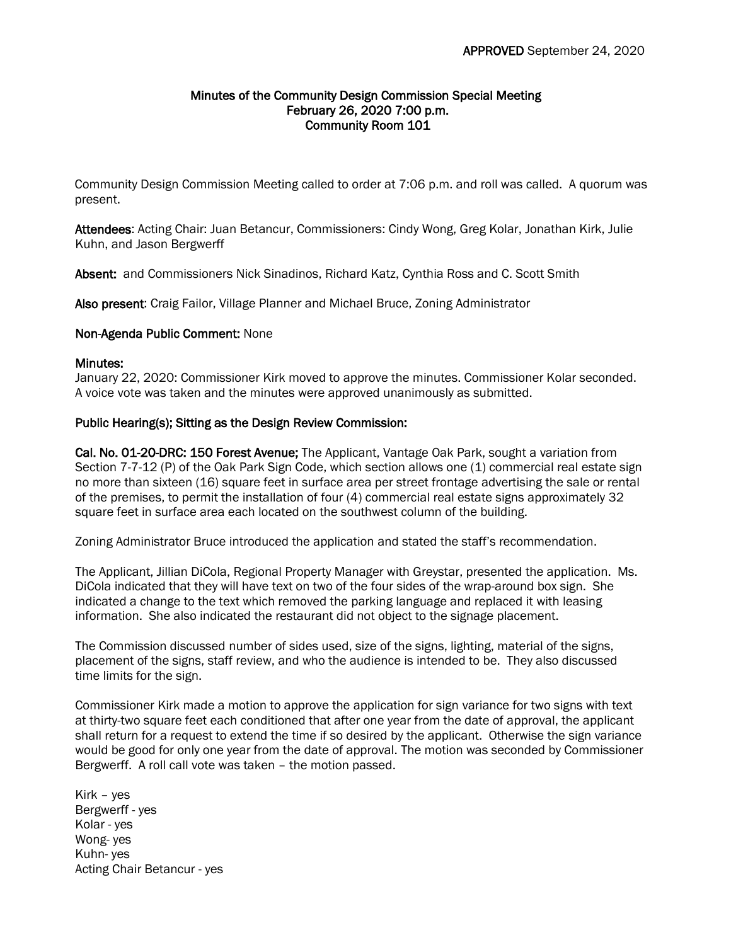### Minutes of the Community Design Commission Special Meeting February 26, 2020 7:00 p.m. Community Room 101

Community Design Commission Meeting called to order at 7:06 p.m. and roll was called. A quorum was present.

Attendees: Acting Chair: Juan Betancur, Commissioners: Cindy Wong, Greg Kolar, Jonathan Kirk, Julie Kuhn, and Jason Bergwerff

Absent: and Commissioners Nick Sinadinos, Richard Katz, Cynthia Ross and C. Scott Smith

Also present: Craig Failor, Village Planner and Michael Bruce, Zoning Administrator

### Non-Agenda Public Comment: None

### Minutes:

January 22, 2020: Commissioner Kirk moved to approve the minutes. Commissioner Kolar seconded. A voice vote was taken and the minutes were approved unanimously as submitted.

# Public Hearing(s); Sitting as the Design Review Commission:

Cal. No. 01-20-DRC: 150 Forest Avenue; The Applicant, Vantage Oak Park, sought a variation from Section 7-7-12 (P) of the Oak Park Sign Code, which section allows one (1) commercial real estate sign no more than sixteen (16) square feet in surface area per street frontage advertising the sale or rental of the premises, to permit the installation of four (4) commercial real estate signs approximately 32 square feet in surface area each located on the southwest column of the building.

Zoning Administrator Bruce introduced the application and stated the staff's recommendation.

The Applicant, Jillian DiCola, Regional Property Manager with Greystar, presented the application. Ms. DiCola indicated that they will have text on two of the four sides of the wrap-around box sign. She indicated a change to the text which removed the parking language and replaced it with leasing information. She also indicated the restaurant did not object to the signage placement.

The Commission discussed number of sides used, size of the signs, lighting, material of the signs, placement of the signs, staff review, and who the audience is intended to be. They also discussed time limits for the sign.

Commissioner Kirk made a motion to approve the application for sign variance for two signs with text at thirty-two square feet each conditioned that after one year from the date of approval, the applicant shall return for a request to extend the time if so desired by the applicant. Otherwise the sign variance would be good for only one year from the date of approval. The motion was seconded by Commissioner Bergwerff. A roll call vote was taken – the motion passed.

Kirk – yes Bergwerff - yes Kolar - yes Wong- yes Kuhn- yes Acting Chair Betancur - yes